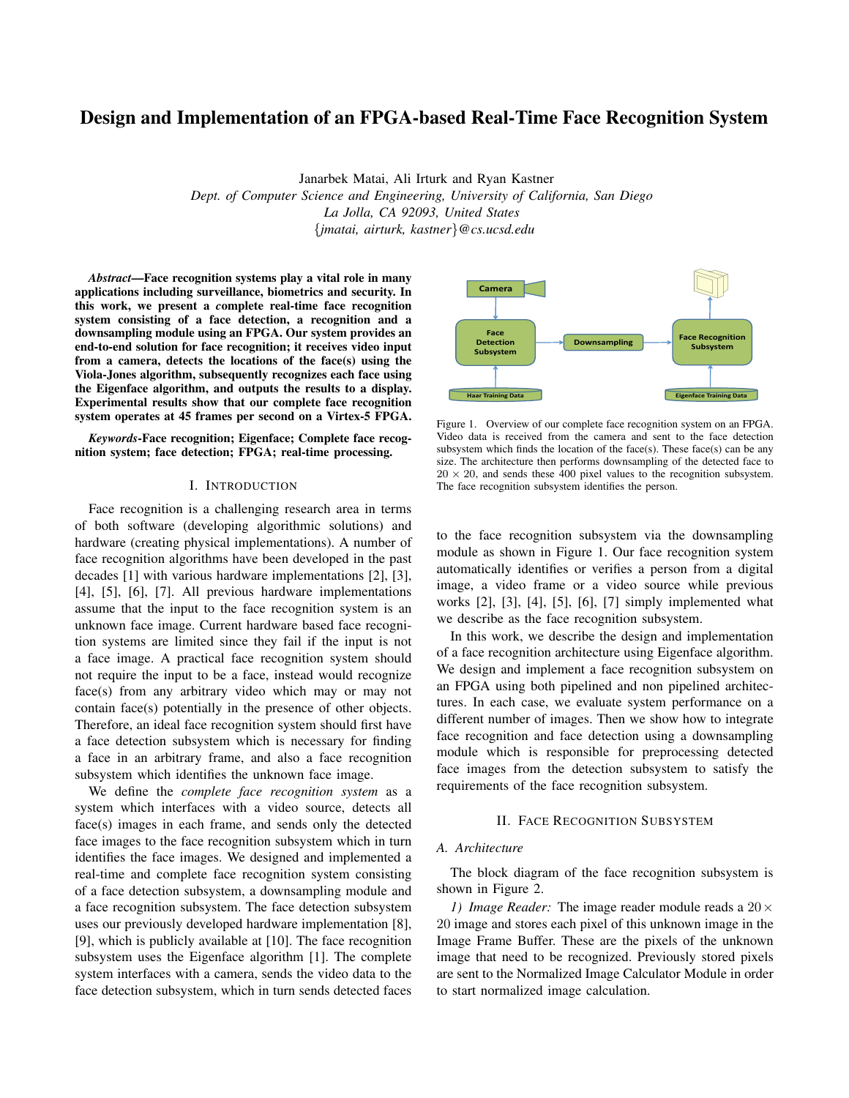# Design and Implementation of an FPGA-based Real-Time Face Recognition System

Janarbek Matai, Ali Irturk and Ryan Kastner *Dept. of Computer Science and Engineering, University of California, San Diego La Jolla, CA 92093, United States {jmatai, airturk, kastner}@cs.ucsd.edu*

*Abstract*—Face recognition systems play a vital role in many applications including surveillance, biometrics and security. In this work, we present a *c*omplete real-time face recognition system consisting of a face detection, a recognition and a downsampling module using an FPGA. Our system provides an end-to-end solution for face recognition; it receives video input from a camera, detects the locations of the face(s) using the Viola-Jones algorithm, subsequently recognizes each face using the Eigenface algorithm, and outputs the results to a display. Experimental results show that our complete face recognition system operates at 45 frames per second on a Virtex-5 FPGA.

*Keywords*-Face recognition; Eigenface; Complete face recognition system; face detection; FPGA; real-time processing.

#### I. INTRODUCTION

Face recognition is a challenging research area in terms of both software (developing algorithmic solutions) and hardware (creating physical implementations). A number of face recognition algorithms have been developed in the past decades [1] with various hardware implementations [2], [3], [4], [5], [6], [7]. All previous hardware implementations assume that the input to the face recognition system is an unknown face image. Current hardware based face recognition systems are limited since they fail if the input is not a face image. A practical face recognition system should not require the input to be a face, instead would recognize face(s) from any arbitrary video which may or may not contain face(s) potentially in the presence of other objects. Therefore, an ideal face recognition system should first have a face detection subsystem which is necessary for finding a face in an arbitrary frame, and also a face recognition subsystem which identifies the unknown face image.

We define the *complete face recognition system* as a system which interfaces with a video source, detects all face(s) images in each frame, and sends only the detected face images to the face recognition subsystem which in turn identifies the face images. We designed and implemented a real-time and complete face recognition system consisting of a face detection subsystem, a downsampling module and a face recognition subsystem. The face detection subsystem uses our previously developed hardware implementation [8], [9], which is publicly available at [10]. The face recognition subsystem uses the Eigenface algorithm [1]. The complete system interfaces with a camera, sends the video data to the face detection subsystem, which in turn sends detected faces



Figure 1. Overview of our complete face recognition system on an FPGA. Video data is received from the camera and sent to the face detection subsystem which finds the location of the face(s). These face(s) can be any size. The architecture then performs downsampling of the detected face to  $20 \times 20$ , and sends these 400 pixel values to the recognition subsystem. The face recognition subsystem identifies the person.

to the face recognition subsystem via the downsampling module as shown in Figure 1. Our face recognition system automatically identifies or verifies a person from a digital image, a video frame or a video source while previous works [2], [3], [4], [5], [6], [7] simply implemented what we describe as the face recognition subsystem.

In this work, we describe the design and implementation of a face recognition architecture using Eigenface algorithm. We design and implement a face recognition subsystem on an FPGA using both pipelined and non pipelined architectures. In each case, we evaluate system performance on a different number of images. Then we show how to integrate face recognition and face detection using a downsampling module which is responsible for preprocessing detected face images from the detection subsystem to satisfy the requirements of the face recognition subsystem.

#### II. FACE RECOGNITION SUBSYSTEM

#### *A. Architecture*

The block diagram of the face recognition subsystem is shown in Figure 2.

*1) Image Reader:* The image reader module reads a  $20 \times$ 20 image and stores each pixel of this unknown image in the Image Frame Buffer. These are the pixels of the unknown image that need to be recognized. Previously stored pixels are sent to the Normalized Image Calculator Module in order to start normalized image calculation.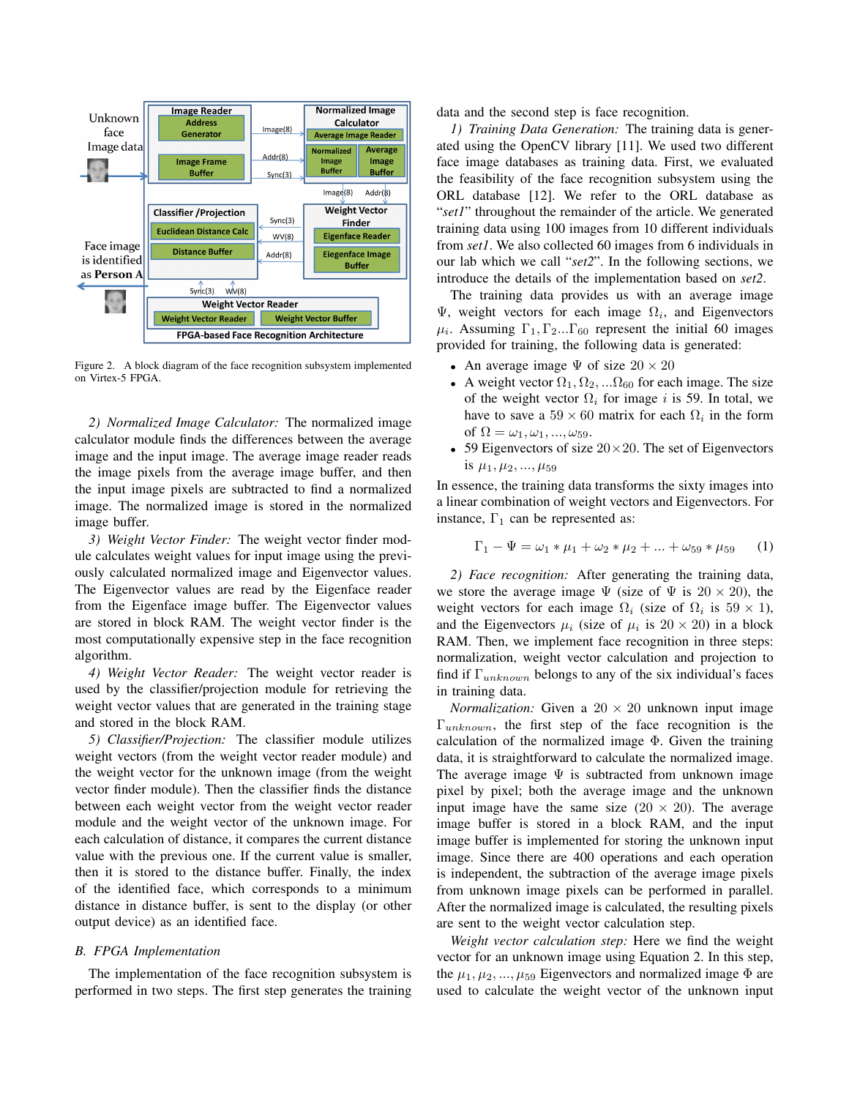

Figure 2. A block diagram of the face recognition subsystem implemented on Virtex-5 FPGA.

*2) Normalized Image Calculator:* The normalized image calculator module finds the differences between the average image and the input image. The average image reader reads the image pixels from the average image buffer, and then the input image pixels are subtracted to find a normalized image. The normalized image is stored in the normalized image buffer.

*3) Weight Vector Finder:* The weight vector finder module calculates weight values for input image using the previously calculated normalized image and Eigenvector values. The Eigenvector values are read by the Eigenface reader from the Eigenface image buffer. The Eigenvector values are stored in block RAM. The weight vector finder is the most computationally expensive step in the face recognition algorithm.

*4) Weight Vector Reader:* The weight vector reader is used by the classifier/projection module for retrieving the weight vector values that are generated in the training stage and stored in the block RAM.

*5) Classifier/Projection:* The classifier module utilizes weight vectors (from the weight vector reader module) and the weight vector for the unknown image (from the weight vector finder module). Then the classifier finds the distance between each weight vector from the weight vector reader module and the weight vector of the unknown image. For each calculation of distance, it compares the current distance value with the previous one. If the current value is smaller, then it is stored to the distance buffer. Finally, the index of the identified face, which corresponds to a minimum distance in distance buffer, is sent to the display (or other output device) as an identified face.

#### *B. FPGA Implementation*

The implementation of the face recognition subsystem is performed in two steps. The first step generates the training data and the second step is face recognition.

*1) Training Data Generation:* The training data is generated using the OpenCV library [11]. We used two different face image databases as training data. First, we evaluated the feasibility of the face recognition subsystem using the ORL database [12]. We refer to the ORL database as "*set1*" throughout the remainder of the article. We generated training data using 100 images from 10 different individuals from *set1*. We also collected 60 images from 6 individuals in our lab which we call "*set2*". In the following sections, we introduce the details of the implementation based on *set2*.

The training data provides us with an average image Ψ, weight vectors for each image Ω*i*, and Eigenvectors  $\mu_i$ . Assuming  $\Gamma_1, \Gamma_2, \ldots, \Gamma_{60}$  represent the initial 60 images provided for training, the following data is generated:

- An average image  $\Psi$  of size  $20 \times 20$
- A weight vector  $\Omega_1, \Omega_2, \ldots, \Omega_{60}$  for each image. The size of the weight vector  $\Omega_i$  for image *i* is 59. In total, we have to save a  $59 \times 60$  matrix for each  $\Omega_i$  in the form of  $\Omega = \omega_1, \omega_1, ..., \omega_{59}$ .
- *•* 59 Eigenvectors of size 20×20. The set of Eigenvectors is  $\mu_1, \mu_2, ..., \mu_{59}$

In essence, the training data transforms the sixty images into a linear combination of weight vectors and Eigenvectors. For instance,  $\Gamma_1$  can be represented as:

$$
\Gamma_1 - \Psi = \omega_1 * \mu_1 + \omega_2 * \mu_2 + \dots + \omega_{59} * \mu_{59} \qquad (1)
$$

*2) Face recognition:* After generating the training data, we store the average image  $\Psi$  (size of  $\Psi$  is  $20 \times 20$ ), the weight vectors for each image  $\Omega_i$  (size of  $\Omega_i$  is 59 × 1), and the Eigenvectors  $\mu_i$  (size of  $\mu_i$  is 20 × 20) in a block RAM. Then, we implement face recognition in three steps: normalization, weight vector calculation and projection to find if Γ*unknown* belongs to any of the six individual's faces in training data.

*Normalization:* Given a  $20 \times 20$  unknown input image Γ*unknown*, the first step of the face recognition is the calculation of the normalized image Φ. Given the training data, it is straightforward to calculate the normalized image. The average image  $\Psi$  is subtracted from unknown image pixel by pixel; both the average image and the unknown input image have the same size  $(20 \times 20)$ . The average image buffer is stored in a block RAM, and the input image buffer is implemented for storing the unknown input image. Since there are 400 operations and each operation is independent, the subtraction of the average image pixels from unknown image pixels can be performed in parallel. After the normalized image is calculated, the resulting pixels are sent to the weight vector calculation step.

*Weight vector calculation step:* Here we find the weight vector for an unknown image using Equation 2. In this step, the  $\mu_1, \mu_2, \ldots, \mu_{59}$  Eigenvectors and normalized image  $\Phi$  are used to calculate the weight vector of the unknown input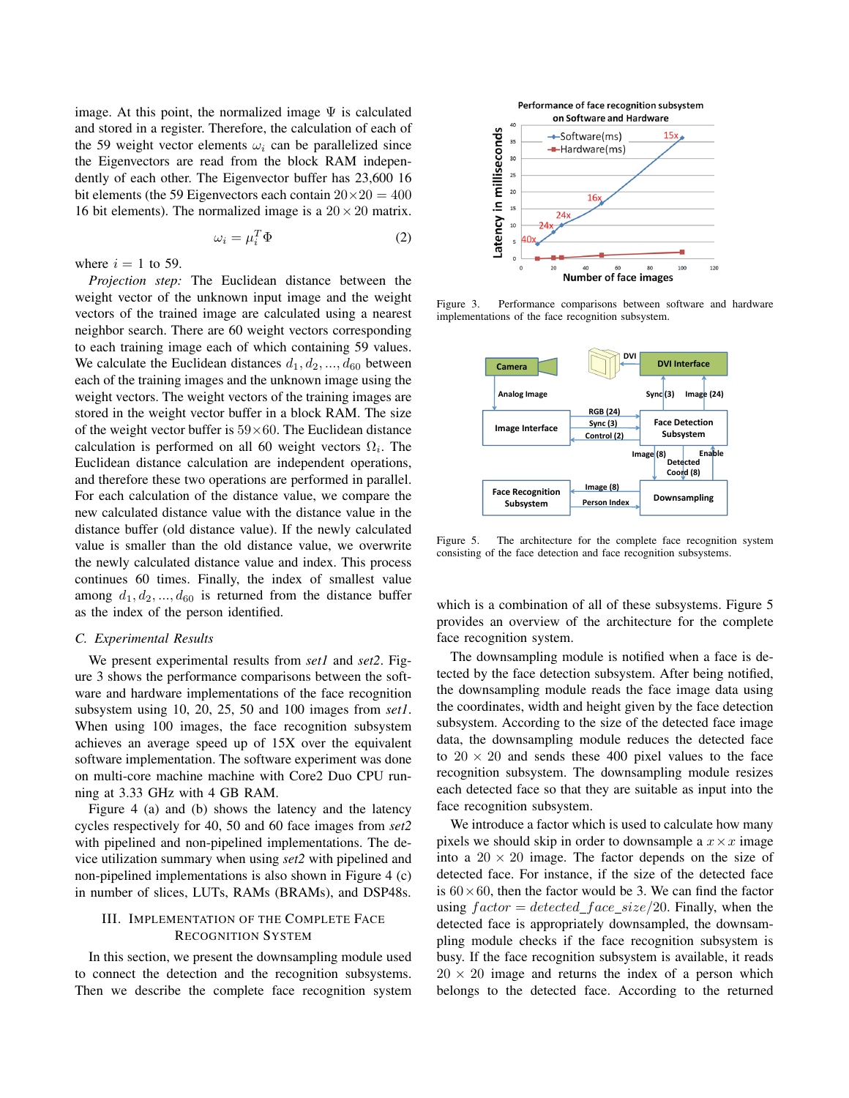image. At this point, the normalized image  $\Psi$  is calculated and stored in a register. Therefore, the calculation of each of the 59 weight vector elements  $\omega_i$  can be parallelized since the Eigenvectors are read from the block RAM independently of each other. The Eigenvector buffer has 23,600 16 bit elements (the 59 Eigenvectors each contain  $20 \times 20 = 400$ 16 bit elements). The normalized image is a  $20 \times 20$  matrix.

$$
\omega_i = \mu_i^T \Phi \tag{2}
$$

where  $i = 1$  to 59.

*Projection step:* The Euclidean distance between the weight vector of the unknown input image and the weight vectors of the trained image are calculated using a nearest neighbor search. There are 60 weight vectors corresponding to each training image each of which containing 59 values. We calculate the Euclidean distances  $d_1, d_2, ..., d_{60}$  between each of the training images and the unknown image using the weight vectors. The weight vectors of the training images are stored in the weight vector buffer in a block RAM. The size of the weight vector buffer is  $59\times 60$ . The Euclidean distance calculation is performed on all 60 weight vectors  $\Omega_i$ . The Euclidean distance calculation are independent operations, and therefore these two operations are performed in parallel. For each calculation of the distance value, we compare the new calculated distance value with the distance value in the distance buffer (old distance value). If the newly calculated value is smaller than the old distance value, we overwrite the newly calculated distance value and index. This process continues 60 times. Finally, the index of smallest value among  $d_1, d_2, ..., d_{60}$  is returned from the distance buffer as the index of the person identified.

#### *C. Experimental Results*

We present experimental results from *set1* and *set2*. Figure 3 shows the performance comparisons between the software and hardware implementations of the face recognition subsystem using 10, 20, 25, 50 and 100 images from *set1*. When using 100 images, the face recognition subsystem achieves an average speed up of 15X over the equivalent software implementation. The software experiment was done on multi-core machine machine with Core2 Duo CPU running at 3.33 GHz with 4 GB RAM.

Figure 4 (a) and (b) shows the latency and the latency cycles respectively for 40, 50 and 60 face images from *set2* with pipelined and non-pipelined implementations. The device utilization summary when using *set2* with pipelined and non-pipelined implementations is also shown in Figure 4 (c) in number of slices, LUTs, RAMs (BRAMs), and DSP48s.

### III. IMPLEMENTATION OF THE COMPLETE FACE RECOGNITION SYSTEM

In this section, we present the downsampling module used to connect the detection and the recognition subsystems. Then we describe the complete face recognition system



Figure 3. Performance comparisons between software and hardware implementations of the face recognition subsystem.



Figure 5. The architecture for the complete face recognition system consisting of the face detection and face recognition subsystems.

which is a combination of all of these subsystems. Figure 5 provides an overview of the architecture for the complete face recognition system.

The downsampling module is notified when a face is detected by the face detection subsystem. After being notified, the downsampling module reads the face image data using the coordinates, width and height given by the face detection subsystem. According to the size of the detected face image data, the downsampling module reduces the detected face to  $20 \times 20$  and sends these 400 pixel values to the face recognition subsystem. The downsampling module resizes each detected face so that they are suitable as input into the face recognition subsystem.

We introduce a factor which is used to calculate how many pixels we should skip in order to downsample a  $x \times x$  image into a  $20 \times 20$  image. The factor depends on the size of detected face. For instance, if the size of the detected face is  $60 \times 60$ , then the factor would be 3. We can find the factor using  $factor = detected\_face\_size/20$ . Finally, when the detected face is appropriately downsampled, the downsampling module checks if the face recognition subsystem is busy. If the face recognition subsystem is available, it reads  $20 \times 20$  image and returns the index of a person which belongs to the detected face. According to the returned